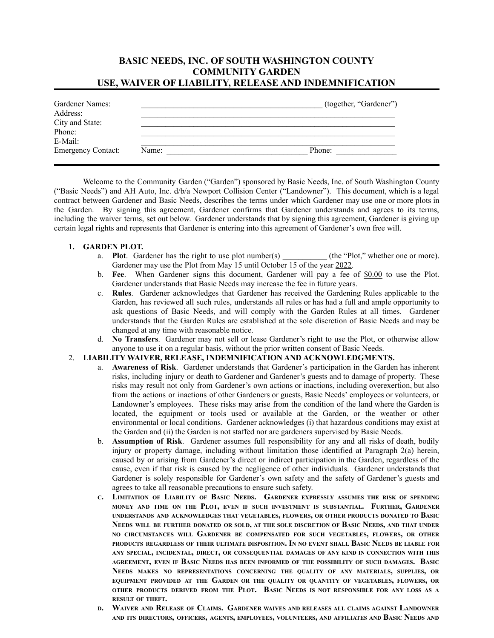# **BASIC NEEDS, INC. OF SOUTH WASHINGTON COUNTY COMMUNITY GARDEN USE, WAIVER OF LIABILITY, RELEASE AND INDEMNIFICATION**

| Gardener Names:<br>Address: |       | (together, "Gardener") |
|-----------------------------|-------|------------------------|
| City and State:<br>Phone:   |       |                        |
| E-Mail:                     |       |                        |
| <b>Emergency Contact:</b>   | Name: | Phone:                 |

Welcome to the Community Garden ("Garden") sponsored by Basic Needs, Inc. of South Washington County ("Basic Needs") and AH Auto, Inc. d/b/a Newport Collision Center ("Landowner"). This document, which is a legal contract between Gardener and Basic Needs, describes the terms under which Gardener may use one or more plots in the Garden. By signing this agreement, Gardener confirms that Gardener understands and agrees to its terms, including the waiver terms, set out below. Gardener understands that by signing this agreement, Gardener is giving up certain legal rights and represents that Gardener is entering into this agreement of Gardener's own free will.

#### **1. GARDEN PLOT.**

- a. **Plot**. Gardener has the right to use plot number(s) (the "Plot," whether one or more). Gardener may use the Plot from May 15 until October 15 of the year 2022.
- b. **Fee**. When Gardener signs this document, Gardener will pay a fee of \$0.00 to use the Plot. Gardener understands that Basic Needs may increase the fee in future years.
- c. **Rules**. Gardener acknowledges that Gardener has received the Gardening Rules applicable to the Garden, has reviewed all such rules, understands all rules or has had a full and ample opportunity to ask questions of Basic Needs, and will comply with the Garden Rules at all times. Gardener understands that the Garden Rules are established at the sole discretion of Basic Needs and may be changed at any time with reasonable notice.
- d. **No Transfers**. Gardener may not sell or lease Gardener's right to use the Plot, or otherwise allow anyone to use it on a regular basis, without the prior written consent of Basic Needs.

#### 2. **LIABILITY WAIVER, RELEASE, INDEMNIFICATION AND ACKNOWLEDGMENTS.**

- a. **Awareness of Risk**. Gardener understands that Gardener's participation in the Garden has inherent risks, including injury or death to Gardener and Gardener's guests and to damage of property. These risks may result not only from Gardener's own actions or inactions, including overexertion, but also from the actions or inactions of other Gardeners or guests, Basic Needs' employees or volunteers, or Landowner's employees. These risks may arise from the condition of the land where the Garden is located, the equipment or tools used or available at the Garden, or the weather or other environmental or local conditions. Gardener acknowledges (i) that hazardous conditions may exist at the Garden and (ii) the Garden is not staffed nor are gardeners supervised by Basic Needs.
- b. **Assumption of Risk**. Gardener assumes full responsibility for any and all risks of death, bodily injury or property damage, including without limitation those identified at Paragraph 2(a) herein, caused by or arising from Gardener's direct or indirect participation in the Garden, regardless of the cause, even if that risk is caused by the negligence of other individuals. Gardener understands that Gardener is solely responsible for Gardener's own safety and the safety of Gardener's guests and agrees to take all reasonable precautions to ensure such safety.
- C. LIMITATION OF LIABILITY OF BASIC NEEDS. GARDENER EXPRESSLY ASSUMES THE RISK OF SPENDING MONEY AND TIME ON THE PLOT, EVEN IF SUCH INVESTMENT IS SUBSTANTIAL. FURTHER, GARDENER **UNDERSTANDS AND ACKNOWLEDGES THAT VEGETABLES, FLOWERS, OR OTHER PRODUCTS DONATED TO BASIC** NEEDS WILL BE FURTHER DONATED OR SOLD, AT THE SOLE DISCRETION OF BASIC NEEDS, AND THAT UNDER **NO CIRCUMSTANCES WILL GARDENER BE COMPENSATED FOR SUCH VEGETABLES, FLOWERS, OR OTHER** PRODUCTS REGARDLESS OF THEIR ULTIMATE DISPOSITION. IN NO EVENT SHALL BASIC NEEDS BE LIABLE FOR **ANY SPECIAL, INCIDENTAL, DIRECT, OR CONSEQUENTIAL DAMAGES OF ANY KIND IN CONNECTION WITH THIS** AGREEMENT, EVEN IF BASIC NEEDS HAS BEEN INFORMED OF THE POSSIBILITY OF SUCH DAMAGES. BASIC **NEEDS MAKES NO REPRESENTATIONS CONCERNING THE QUALITY OF ANY MATERIALS, SUPPLIES, OR EQUIPMENT PROVIDED AT THE GARDEN OR THE QUALITY OR QUANTITY OF VEGETABLES, FLOWERS, OR** OTHER PRODUCTS DERIVED FROM THE PLOT. BASIC NEEDS IS NOT RESPONSIBLE FOR ANY LOSS AS A **RESULT OF THEFT.**
- WAIVER AND RELEASE OF CLAIMS. GARDENER WAIVES AND RELEASES ALL CLAIMS AGAINST LANDOWNER AND ITS DIRECTORS, OFFICERS, AGENTS, EMPLOYEES, VOLUNTEERS, AND AFFILIATES AND BASIC NEEDS AND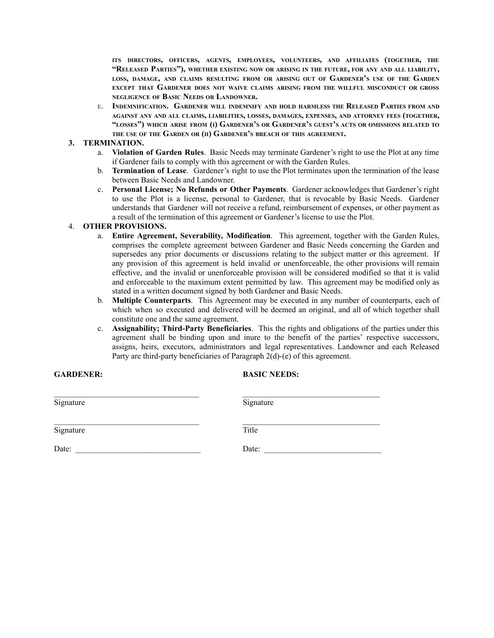**ITS DIRECTORS, OFFICERS, AGENTS, EMPLOYEES, VOLUNTEERS, AND AFFILIATES (TOGETHER, THE** "RELEASED PARTIES"), WHETHER EXISTING NOW OR ARISING IN THE FUTURE, FOR ANY AND ALL LIABILITY, LOSS, DAMAGE, AND CLAIMS RESULTING FROM OR ARISING OUT OF GARDENER'S USE OF THE GARDEN **EXCEPT THAT GARDENER DOES NOT WAIVE CLAIMS ARISING FROM THE WILLFUL MISCONDUCT OR GROSS NEGLIGENCE OF BASIC NEEDS OR LANDOWNER.**

<sup>E</sup>. **INDEMNIFICATION. GARDENER WILL INDEMNIFY AND HOLD HARMLESS THE RELEASED PARTIES FROM AND** AGAINST ANY AND ALL CLAIMS, LIABILITIES, LOSSES, DAMAGES, EXPENSES, AND ATTORNEY FEES (TOGETHER, "LOSSES") WHICH ARISE FROM (I) GARDENER'S OR GARDENER'S GUEST'S ACTS OR OMISSIONS RELATED TO **THE USE OF THE GARDEN OR (II) GARDENER'<sup>S</sup> BREACH OF THIS AGREEMENT.**

#### **3. TERMINATION.**

- a. **Violation of Garden Rules**. Basic Needs may terminate Gardener's right to use the Plot at any time if Gardener fails to comply with this agreement or with the Garden Rules.
- b. **Termination of Lease**. Gardener's right to use the Plot terminates upon the termination of the lease between Basic Needs and Landowner.
- c. **Personal License; No Refunds or Other Payments**. Gardener acknowledges that Gardener's right to use the Plot is a license, personal to Gardener, that is revocable by Basic Needs. Gardener understands that Gardener will not receive a refund, reimbursement of expenses, or other payment as a result of the termination of this agreement or Gardener's license to use the Plot.

#### 4. **OTHER PROVISIONS.**

- a. **Entire Agreement, Severability, Modification**. This agreement, together with the Garden Rules, comprises the complete agreement between Gardener and Basic Needs concerning the Garden and supersedes any prior documents or discussions relating to the subject matter or this agreement. If any provision of this agreement is held invalid or unenforceable, the other provisions will remain effective, and the invalid or unenforceable provision will be considered modified so that it is valid and enforceable to the maximum extent permitted by law. This agreement may be modified only as stated in a written document signed by both Gardener and Basic Needs.
- b. **Multiple Counterparts**. This Agreement may be executed in any number of counterparts, each of which when so executed and delivered will be deemed an original, and all of which together shall constitute one and the same agreement.
- c. **Assignability; Third-Party Beneficiaries**. This the rights and obligations of the parties under this agreement shall be binding upon and inure to the benefit of the parties' respective successors, assigns, heirs, executors, administrators and legal representatives. Landowner and each Released Party are third-party beneficiaries of Paragraph 2(d)-(e) of this agreement.

#### **GARDENER:**

### **BASIC NEEDS:**

| Signature | Signature |
|-----------|-----------|
| Signature | Title     |
| Date:     | Date:     |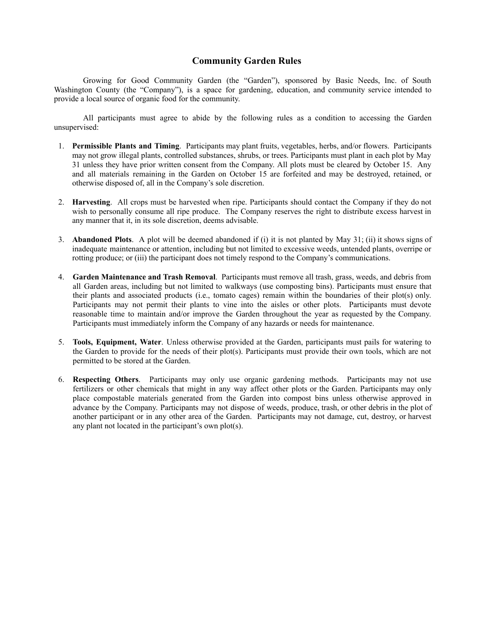## **Community Garden Rules**

Growing for Good Community Garden (the "Garden"), sponsored by Basic Needs, Inc. of South Washington County (the "Company"), is a space for gardening, education, and community service intended to provide a local source of organic food for the community.

All participants must agree to abide by the following rules as a condition to accessing the Garden unsupervised:

- 1. **Permissible Plants and Timing**. Participants may plant fruits, vegetables, herbs, and/or flowers. Participants may not grow illegal plants, controlled substances, shrubs, or trees. Participants must plant in each plot by May 31 unless they have prior written consent from the Company. All plots must be cleared by October 15. Any and all materials remaining in the Garden on October 15 are forfeited and may be destroyed, retained, or otherwise disposed of, all in the Company's sole discretion.
- 2. **Harvesting**. All crops must be harvested when ripe. Participants should contact the Company if they do not wish to personally consume all ripe produce. The Company reserves the right to distribute excess harvest in any manner that it, in its sole discretion, deems advisable.
- 3. **Abandoned Plots**. A plot will be deemed abandoned if (i) it is not planted by May 31; (ii) it shows signs of inadequate maintenance or attention, including but not limited to excessive weeds, untended plants, overripe or rotting produce; or (iii) the participant does not timely respond to the Company's communications.
- 4. **Garden Maintenance and Trash Removal**. Participants must remove all trash, grass, weeds, and debris from all Garden areas, including but not limited to walkways (use composting bins). Participants must ensure that their plants and associated products (i.e., tomato cages) remain within the boundaries of their plot(s) only. Participants may not permit their plants to vine into the aisles or other plots. Participants must devote reasonable time to maintain and/or improve the Garden throughout the year as requested by the Company. Participants must immediately inform the Company of any hazards or needs for maintenance.
- 5. **Tools, Equipment, Water**. Unless otherwise provided at the Garden, participants must pails for watering to the Garden to provide for the needs of their plot(s). Participants must provide their own tools, which are not permitted to be stored at the Garden.
- 6. **Respecting Others**. Participants may only use organic gardening methods. Participants may not use fertilizers or other chemicals that might in any way affect other plots or the Garden. Participants may only place compostable materials generated from the Garden into compost bins unless otherwise approved in advance by the Company. Participants may not dispose of weeds, produce, trash, or other debris in the plot of another participant or in any other area of the Garden. Participants may not damage, cut, destroy, or harvest any plant not located in the participant's own plot(s).